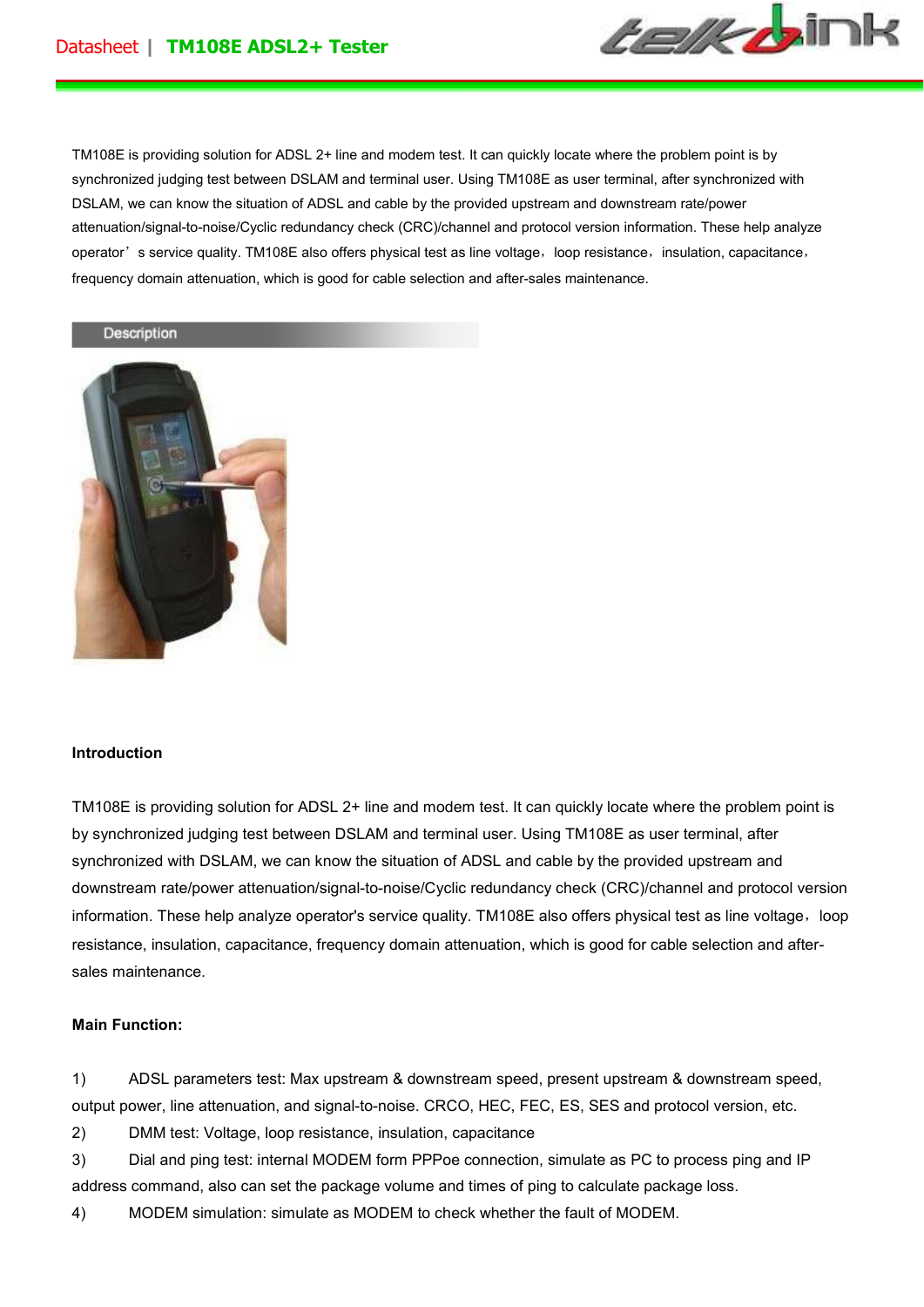

TM108E is providing solution for ADSL 2+ line and modem test. It can quickly locate where the problem point is by synchronized judging test between DSLAM and terminal user. Using TM108E as user terminal, after synchronized with DSLAM, we can know the situation of ADSL and cable by the provided upstream and downstream rate/power attenuation/signal-to-noise/Cyclic redundancy check (CRC)/channel and protocol version information. These help analyze operator's service quality. TM108E also offers physical test as line voltage, loop resistance, insulation, capacitance, frequency domain attenuation, which is good for cable selection and after-sales maintenance.

## Description



#### **Introduction**

TM108E is providing solution for ADSL 2+ line and modem test. It can quickly locate where the problem point is by synchronized judging test between DSLAM and terminal user. Using TM108E as user terminal, after synchronized with DSLAM, we can know the situation of ADSL and cable by the provided upstream and downstream rate/power attenuation/signal-to-noise/Cyclic redundancy check (CRC)/channel and protocol version information. These help analyze operator's service quality. TM108E also offers physical test as line voltage, loop resistance, insulation, capacitance, frequency domain attenuation, which is good for cable selection and aftersales maintenance.

#### **Main Function:**

1) ADSL parameters test: Max upstream & downstream speed, present upstream & downstream speed, output power, line attenuation, and signal-to-noise. CRCO, HEC, FEC, ES, SES and protocol version, etc.

2) DMM test: Voltage, loop resistance, insulation, capacitance

3) Dial and ping test: internal MODEM form PPPoe connection, simulate as PC to process ping and IP address command, also can set the package volume and times of ping to calculate package loss.

4) MODEM simulation: simulate as MODEM to check whether the fault of MODEM.